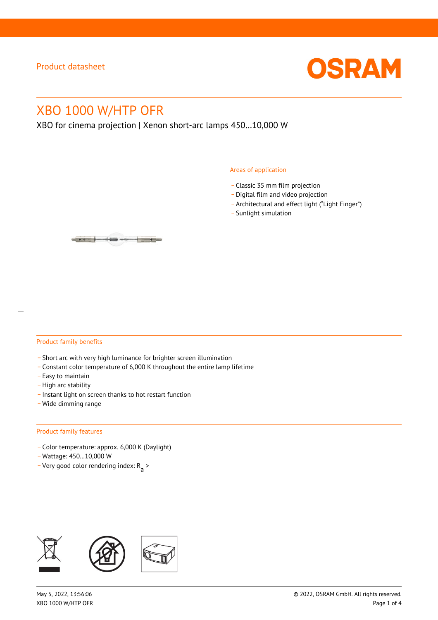

# XBO 1000 W/HTP OFR

XBO for cinema projection | Xenon short-arc lamps 450…10,000 W

#### Areas of application

- \_ Classic 35 mm film projection
- \_ Digital film and video projection
- \_ Architectural and effect light ("Light Finger")
- Sunlight simulation

#### Product family benefits

- \_ Short arc with very high luminance for brighter screen illumination
- \_ Constant color temperature of 6,000 K throughout the entire lamp lifetime
- \_ Easy to maintain
- High arc stability
- \_ Instant light on screen thanks to hot restart function
- \_ Wide dimming range

#### Product family features

- \_ Color temperature: approx. 6,000 K (Daylight)
- \_ Wattage: 450…10,000 W
- Very good color rendering index:  $R_{\text{a}}$  >

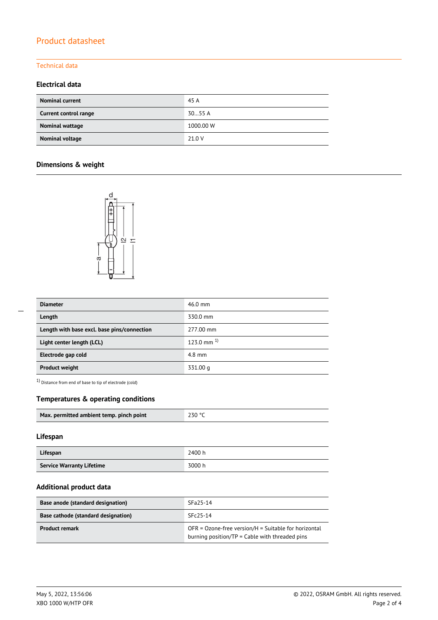# Product datasheet

### Technical data

### **Electrical data**

| <b>Nominal current</b>       | 45 A      |
|------------------------------|-----------|
| <b>Current control range</b> | 3055A     |
| Nominal wattage              | 1000.00 W |
| Nominal voltage              | 21.0 V    |

## **Dimensions & weight**



| <b>Diameter</b>                             | $46.0$ mm         |
|---------------------------------------------|-------------------|
| Length                                      | 330.0 mm          |
| Length with base excl. base pins/connection | 277.00 mm         |
| Light center length (LCL)                   | $123.0$ mm $^{1}$ |
| Electrode gap cold                          | $4.8$ mm          |
| <b>Product weight</b>                       | 331.00 g          |

 $1)$  Distance from end of base to tip of electrode (cold)

### **Temperatures & operating conditions**

| Max. permitted ambient temp. pinch point | 230 °C |
|------------------------------------------|--------|
|                                          |        |

#### **Lifespan**

| Lifespan                         | 2400 h |
|----------------------------------|--------|
| <b>Service Warranty Lifetime</b> | 3000 h |

#### **Additional product data**

| Base anode (standard designation)          | SFa25-14                                                                                                 |
|--------------------------------------------|----------------------------------------------------------------------------------------------------------|
| <b>Base cathode (standard designation)</b> | $SFc25-14$                                                                                               |
| <b>Product remark</b>                      | $OFR = Ozone-free version/H = Suitable for horizontal$<br>burning position/TP = Cable with threaded pins |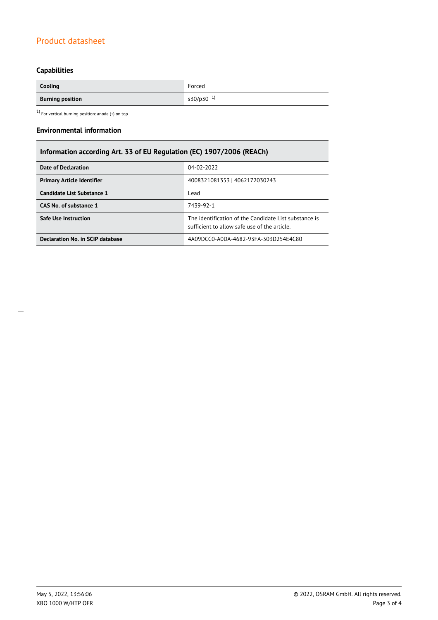# Product datasheet

# **Capabilities**

| Cooling                 | Forced                |
|-------------------------|-----------------------|
| <b>Burning position</b> | s30/p30 <sup>1)</sup> |

 $1)$  For vertical burning position: anode (+) on top

#### **Environmental information**

# **Information according Art. 33 of EU Regulation (EC) 1907/2006 (REACh)**

| Date of Declaration               | 04-02-2022                                                                                            |  |  |
|-----------------------------------|-------------------------------------------------------------------------------------------------------|--|--|
| <b>Primary Article Identifier</b> | 4008321081353   4062172030243                                                                         |  |  |
| Candidate List Substance 1        | Lead                                                                                                  |  |  |
| CAS No. of substance 1            | 7439-92-1                                                                                             |  |  |
| <b>Safe Use Instruction</b>       | The identification of the Candidate List substance is<br>sufficient to allow safe use of the article. |  |  |
| Declaration No. in SCIP database  | 4A09DCC0-A0DA-4682-93FA-303D254E4C80                                                                  |  |  |